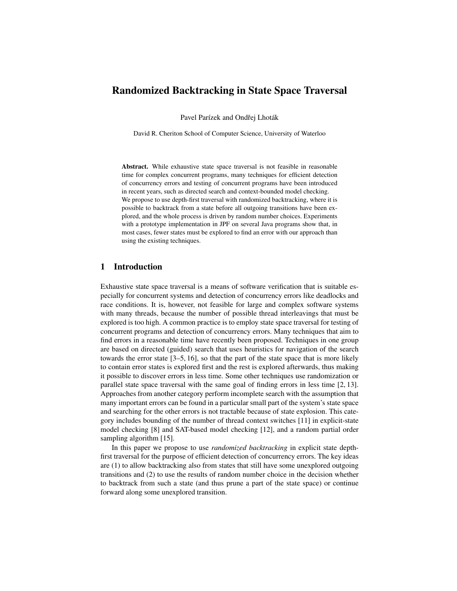# Randomized Backtracking in State Space Traversal

Pavel Parízek and Ondřej Lhoták

David R. Cheriton School of Computer Science, University of Waterloo

Abstract. While exhaustive state space traversal is not feasible in reasonable time for complex concurrent programs, many techniques for efficient detection of concurrency errors and testing of concurrent programs have been introduced in recent years, such as directed search and context-bounded model checking. We propose to use depth-first traversal with randomized backtracking, where it is possible to backtrack from a state before all outgoing transitions have been explored, and the whole process is driven by random number choices. Experiments with a prototype implementation in JPF on several Java programs show that, in most cases, fewer states must be explored to find an error with our approach than using the existing techniques.

# 1 Introduction

Exhaustive state space traversal is a means of software verification that is suitable especially for concurrent systems and detection of concurrency errors like deadlocks and race conditions. It is, however, not feasible for large and complex software systems with many threads, because the number of possible thread interleavings that must be explored is too high. A common practice is to employ state space traversal for testing of concurrent programs and detection of concurrency errors. Many techniques that aim to find errors in a reasonable time have recently been proposed. Techniques in one group are based on directed (guided) search that uses heuristics for navigation of the search towards the error state [3–5, 16], so that the part of the state space that is more likely to contain error states is explored first and the rest is explored afterwards, thus making it possible to discover errors in less time. Some other techniques use randomization or parallel state space traversal with the same goal of finding errors in less time [2, 13]. Approaches from another category perform incomplete search with the assumption that many important errors can be found in a particular small part of the system's state space and searching for the other errors is not tractable because of state explosion. This category includes bounding of the number of thread context switches [11] in explicit-state model checking [8] and SAT-based model checking [12], and a random partial order sampling algorithm [15].

In this paper we propose to use *randomized backtracking* in explicit state depthfirst traversal for the purpose of efficient detection of concurrency errors. The key ideas are (1) to allow backtracking also from states that still have some unexplored outgoing transitions and (2) to use the results of random number choice in the decision whether to backtrack from such a state (and thus prune a part of the state space) or continue forward along some unexplored transition.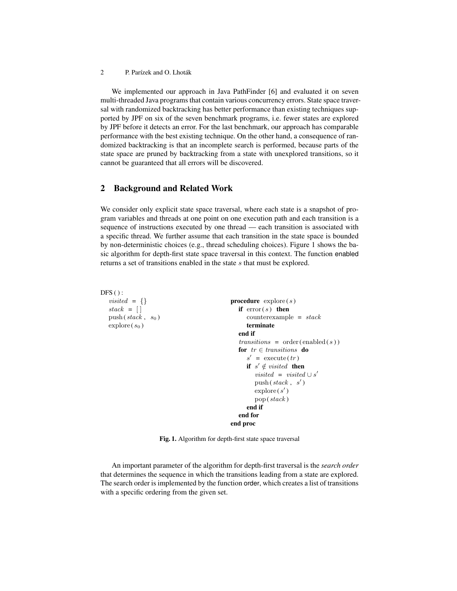We implemented our approach in Java PathFinder [6] and evaluated it on seven multi-threaded Java programs that contain various concurrency errors. State space traversal with randomized backtracking has better performance than existing techniques supported by JPF on six of the seven benchmark programs, i.e. fewer states are explored by JPF before it detects an error. For the last benchmark, our approach has comparable performance with the best existing technique. On the other hand, a consequence of randomized backtracking is that an incomplete search is performed, because parts of the state space are pruned by backtracking from a state with unexplored transitions, so it cannot be guaranteed that all errors will be discovered.

### 2 Background and Related Work

We consider only explicit state space traversal, where each state is a snapshot of program variables and threads at one point on one execution path and each transition is a sequence of instructions executed by one thread — each transition is associated with a specific thread. We further assume that each transition in the state space is bounded by non-deterministic choices (e.g., thread scheduling choices). Figure 1 shows the basic algorithm for depth-first state space traversal in this context. The function enabled returns a set of transitions enabled in the state s that must be explored.

```
DFS( ):
visited = \{\}stack = []push(stack, s_0)
explore(s<sub>0</sub>)procedure \exp^{\log(s)}if error(s) then
                                                  counter example = stackterminate
                                               end if
                                               transitions = order(enabled(s))for tr \in transitions do
                                                   s' = \text{execute}(tr)if s' \notin visited then
                                                     visited = visited \cup s'push(\text{stack}, s')explore(s')pop( stack )
                                                  end if
                                               end for
                                            end proc
```
Fig. 1. Algorithm for depth-first state space traversal

An important parameter of the algorithm for depth-first traversal is the *search order* that determines the sequence in which the transitions leading from a state are explored. The search order is implemented by the function order, which creates a list of transitions with a specific ordering from the given set.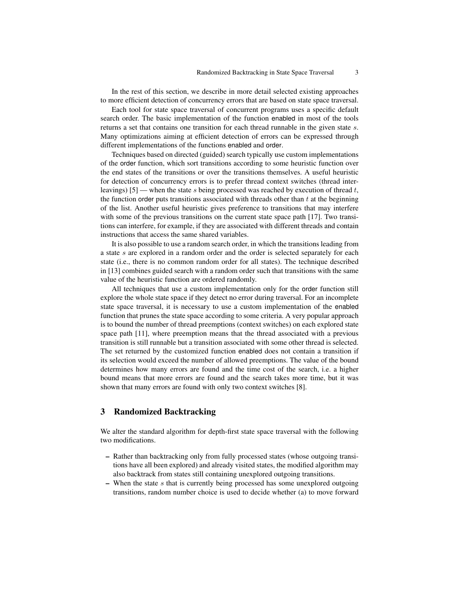In the rest of this section, we describe in more detail selected existing approaches to more efficient detection of concurrency errors that are based on state space traversal.

Each tool for state space traversal of concurrent programs uses a specific default search order. The basic implementation of the function enabled in most of the tools returns a set that contains one transition for each thread runnable in the given state s. Many optimizations aiming at efficient detection of errors can be expressed through different implementations of the functions enabled and order.

Techniques based on directed (guided) search typically use custom implementations of the order function, which sort transitions according to some heuristic function over the end states of the transitions or over the transitions themselves. A useful heuristic for detection of concurrency errors is to prefer thread context switches (thread interleavings) [5] — when the state s being processed was reached by execution of thread  $t$ , the function order puts transitions associated with threads other than  $t$  at the beginning of the list. Another useful heuristic gives preference to transitions that may interfere with some of the previous transitions on the current state space path [17]. Two transitions can interfere, for example, if they are associated with different threads and contain instructions that access the same shared variables.

It is also possible to use a random search order, in which the transitions leading from a state s are explored in a random order and the order is selected separately for each state (i.e., there is no common random order for all states). The technique described in [13] combines guided search with a random order such that transitions with the same value of the heuristic function are ordered randomly.

All techniques that use a custom implementation only for the order function still explore the whole state space if they detect no error during traversal. For an incomplete state space traversal, it is necessary to use a custom implementation of the enabled function that prunes the state space according to some criteria. A very popular approach is to bound the number of thread preemptions (context switches) on each explored state space path [11], where preemption means that the thread associated with a previous transition is still runnable but a transition associated with some other thread is selected. The set returned by the customized function enabled does not contain a transition if its selection would exceed the number of allowed preemptions. The value of the bound determines how many errors are found and the time cost of the search, i.e. a higher bound means that more errors are found and the search takes more time, but it was shown that many errors are found with only two context switches [8].

### 3 Randomized Backtracking

We alter the standard algorithm for depth-first state space traversal with the following two modifications.

- Rather than backtracking only from fully processed states (whose outgoing transitions have all been explored) and already visited states, the modified algorithm may also backtrack from states still containing unexplored outgoing transitions.
- When the state s that is currently being processed has some unexplored outgoing transitions, random number choice is used to decide whether (a) to move forward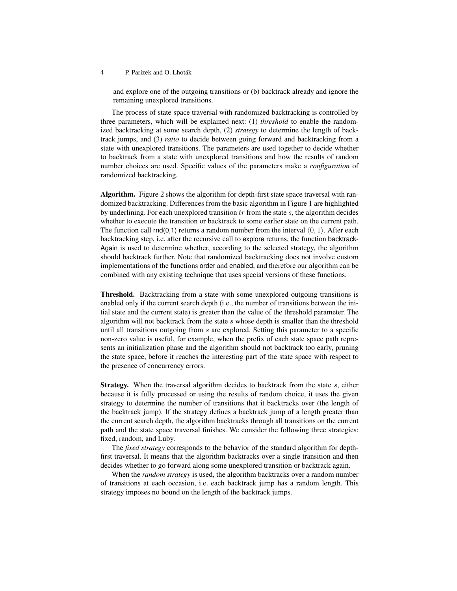and explore one of the outgoing transitions or (b) backtrack already and ignore the remaining unexplored transitions.

The process of state space traversal with randomized backtracking is controlled by three parameters, which will be explained next: (1) *threshold* to enable the randomized backtracking at some search depth, (2) *strategy* to determine the length of backtrack jumps, and (3) *ratio* to decide between going forward and backtracking from a state with unexplored transitions. The parameters are used together to decide whether to backtrack from a state with unexplored transitions and how the results of random number choices are used. Specific values of the parameters make a *configuration* of randomized backtracking.

Algorithm. Figure 2 shows the algorithm for depth-first state space traversal with randomized backtracking. Differences from the basic algorithm in Figure 1 are highlighted by underlining. For each unexplored transition  $tr$  from the state  $s$ , the algorithm decides whether to execute the transition or backtrack to some earlier state on the current path. The function call rnd(0,1) returns a random number from the interval  $(0, 1)$ . After each backtracking step, i.e. after the recursive call to explore returns, the function backtrack-Again is used to determine whether, according to the selected strategy, the algorithm should backtrack further. Note that randomized backtracking does not involve custom implementations of the functions order and enabled, and therefore our algorithm can be combined with any existing technique that uses special versions of these functions.

Threshold. Backtracking from a state with some unexplored outgoing transitions is enabled only if the current search depth (i.e., the number of transitions between the initial state and the current state) is greater than the value of the threshold parameter. The algorithm will not backtrack from the state  $s$  whose depth is smaller than the threshold until all transitions outgoing from  $s$  are explored. Setting this parameter to a specific non-zero value is useful, for example, when the prefix of each state space path represents an initialization phase and the algorithm should not backtrack too early, pruning the state space, before it reaches the interesting part of the state space with respect to the presence of concurrency errors.

Strategy. When the traversal algorithm decides to backtrack from the state s, either because it is fully processed or using the results of random choice, it uses the given strategy to determine the number of transitions that it backtracks over (the length of the backtrack jump). If the strategy defines a backtrack jump of a length greater than the current search depth, the algorithm backtracks through all transitions on the current path and the state space traversal finishes. We consider the following three strategies: fixed, random, and Luby.

The *fixed strategy* corresponds to the behavior of the standard algorithm for depthfirst traversal. It means that the algorithm backtracks over a single transition and then decides whether to go forward along some unexplored transition or backtrack again.

When the *random strategy* is used, the algorithm backtracks over a random number of transitions at each occasion, i.e. each backtrack jump has a random length. This strategy imposes no bound on the length of the backtrack jumps.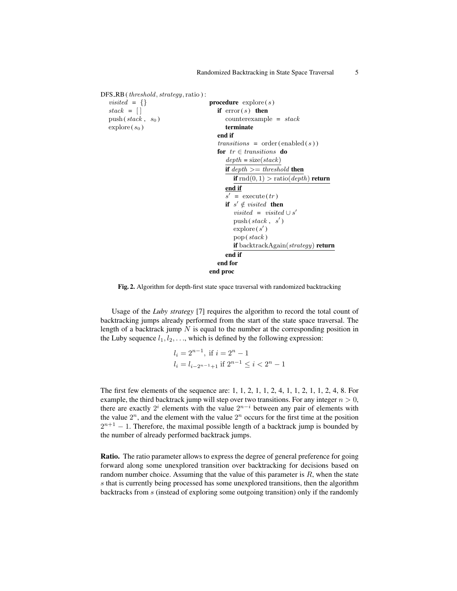DFS\_RB (threshold, strategy, ratio):

```
visited = \{\}stack = []push(\,stack, s_0)explore(s<sub>0</sub>)procedure \exp^{\log(s)}if error(s) then
                                          counter example = stackterminate
                                       end if
                                       transitions = order(enabled(s))for tr \in transitions do
                                          depth = size(state)if depth >= threshold then
                                             if \text{rnd}(0, 1) > \text{ratio}(depth) return
                                         end if
                                          s' = \text{execute}(tr)if s' \notin visited then
                                             visited = visited \cup s'push(\text{stack}, s')\mathrm{explore}(\mathit{s}')pop( stack )
                                             if backtrackAgain(strategy) return
                                          end if
                                       end for
                                   end proc
```
Fig. 2. Algorithm for depth-first state space traversal with randomized backtracking

Usage of the *Luby strategy* [7] requires the algorithm to record the total count of backtracking jumps already performed from the start of the state space traversal. The length of a backtrack jump  $N$  is equal to the number at the corresponding position in the Luby sequence  $l_1, l_2, \ldots$ , which is defined by the following expression:

$$
l_i = 2^{n-1}, \text{ if } i = 2^n - 1
$$
  

$$
l_i = l_{i-2^{n-1}+1} \text{ if } 2^{n-1} \le i < 2^n - 1
$$

The first few elements of the sequence are: 1, 1, 2, 1, 1, 2, 4, 1, 1, 2, 1, 1, 2, 4, 8. For example, the third backtrack jump will step over two transitions. For any integer  $n > 0$ , there are exactly  $2^{i}$  elements with the value  $2^{n-i}$  between any pair of elements with the value  $2^n$ , and the element with the value  $2^n$  occurs for the first time at the position  $2^{n+1}$  – 1. Therefore, the maximal possible length of a backtrack jump is bounded by the number of already performed backtrack jumps.

Ratio. The ratio parameter allows to express the degree of general preference for going forward along some unexplored transition over backtracking for decisions based on random number choice. Assuming that the value of this parameter is  $R$ , when the state s that is currently being processed has some unexplored transitions, then the algorithm backtracks from s (instead of exploring some outgoing transition) only if the randomly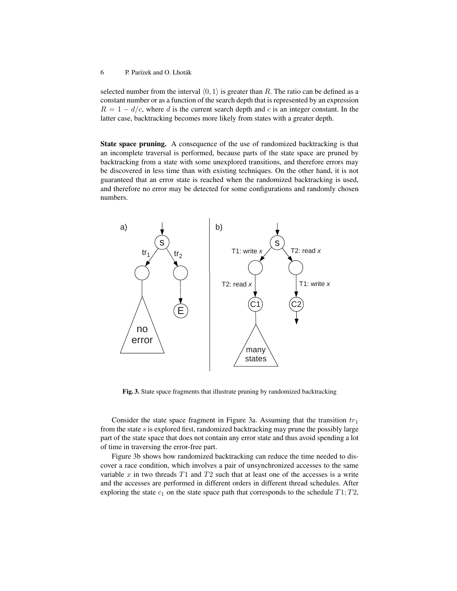selected number from the interval  $(0, 1)$  is greater than R. The ratio can be defined as a constant number or as a function of the search depth that is represented by an expression  $R = 1 - d/c$ , where d is the current search depth and c is an integer constant. In the latter case, backtracking becomes more likely from states with a greater depth.

State space pruning. A consequence of the use of randomized backtracking is that an incomplete traversal is performed, because parts of the state space are pruned by backtracking from a state with some unexplored transitions, and therefore errors may be discovered in less time than with existing techniques. On the other hand, it is not guaranteed that an error state is reached when the randomized backtracking is used, and therefore no error may be detected for some configurations and randomly chosen numbers.



Fig. 3. State space fragments that illustrate pruning by randomized backtracking

Consider the state space fragment in Figure 3a. Assuming that the transition  $tr_1$ from the state s is explored first, randomized backtracking may prune the possibly large part of the state space that does not contain any error state and thus avoid spending a lot of time in traversing the error-free part.

Figure 3b shows how randomized backtracking can reduce the time needed to discover a race condition, which involves a pair of unsynchronized accesses to the same variable x in two threads  $T1$  and  $T2$  such that at least one of the accesses is a write and the accesses are performed in different orders in different thread schedules. After exploring the state  $c_1$  on the state space path that corresponds to the schedule  $T1$ ;  $T2$ ,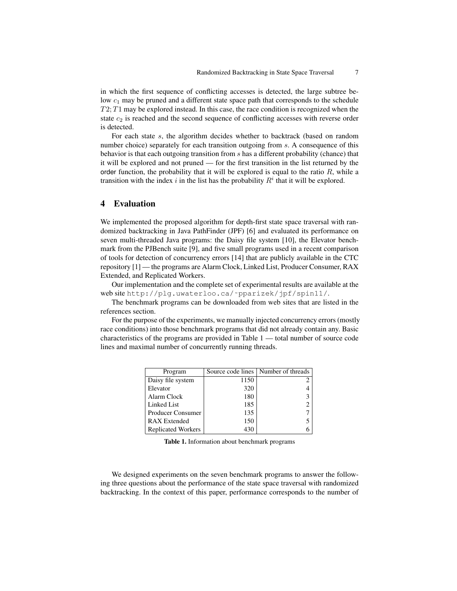in which the first sequence of conflicting accesses is detected, the large subtree below  $c_1$  may be pruned and a different state space path that corresponds to the schedule  $T2$ ;  $T1$  may be explored instead. In this case, the race condition is recognized when the state  $c_2$  is reached and the second sequence of conflicting accesses with reverse order is detected.

For each state s, the algorithm decides whether to backtrack (based on random number choice) separately for each transition outgoing from s. A consequence of this behavior is that each outgoing transition from s has a different probability (chance) that it will be explored and not pruned — for the first transition in the list returned by the order function, the probability that it will be explored is equal to the ratio  $R$ , while a transition with the index i in the list has the probability  $R<sup>i</sup>$  that it will be explored.

### 4 Evaluation

We implemented the proposed algorithm for depth-first state space traversal with randomized backtracking in Java PathFinder (JPF) [6] and evaluated its performance on seven multi-threaded Java programs: the Daisy file system [10], the Elevator benchmark from the PJBench suite [9], and five small programs used in a recent comparison of tools for detection of concurrency errors [14] that are publicly available in the CTC repository [1] — the programs are Alarm Clock, Linked List, Producer Consumer, RAX Extended, and Replicated Workers.

Our implementation and the complete set of experimental results are available at the web site http://plg.uwaterloo.ca/~pparizek/jpf/spin11/.

The benchmark programs can be downloaded from web sites that are listed in the references section.

For the purpose of the experiments, we manually injected concurrency errors (mostly race conditions) into those benchmark programs that did not already contain any. Basic characteristics of the programs are provided in Table 1 — total number of source code lines and maximal number of concurrently running threads.

| Program                   |      | Source code lines   Number of threads |
|---------------------------|------|---------------------------------------|
| Daisy file system         | 1150 |                                       |
| Elevator                  | 320  |                                       |
| Alarm Clock               | 180  |                                       |
| Linked List               | 185  |                                       |
| <b>Producer Consumer</b>  | 135  |                                       |
| <b>RAX</b> Extended       | 150  |                                       |
| <b>Replicated Workers</b> | 430  |                                       |

Table 1. Information about benchmark programs

We designed experiments on the seven benchmark programs to answer the following three questions about the performance of the state space traversal with randomized backtracking. In the context of this paper, performance corresponds to the number of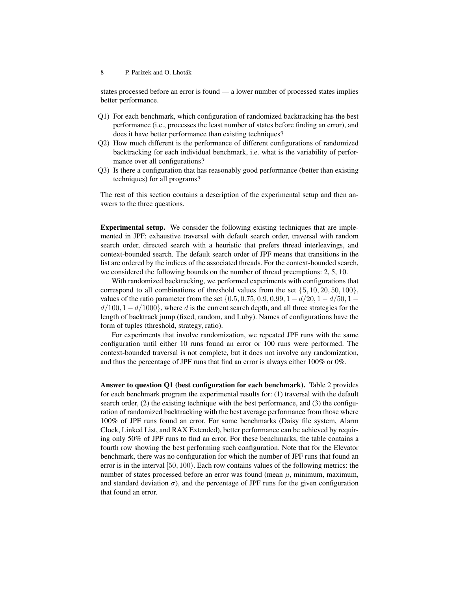states processed before an error is found — a lower number of processed states implies better performance.

- Q1) For each benchmark, which configuration of randomized backtracking has the best performance (i.e., processes the least number of states before finding an error), and does it have better performance than existing techniques?
- Q2) How much different is the performance of different configurations of randomized backtracking for each individual benchmark, i.e. what is the variability of performance over all configurations?
- Q3) Is there a configuration that has reasonably good performance (better than existing techniques) for all programs?

The rest of this section contains a description of the experimental setup and then answers to the three questions.

Experimental setup. We consider the following existing techniques that are implemented in JPF: exhaustive traversal with default search order, traversal with random search order, directed search with a heuristic that prefers thread interleavings, and context-bounded search. The default search order of JPF means that transitions in the list are ordered by the indices of the associated threads. For the context-bounded search, we considered the following bounds on the number of thread preemptions: 2, 5, 10.

With randomized backtracking, we performed experiments with configurations that correspond to all combinations of threshold values from the set  $\{5, 10, 20, 50, 100\}$ , values of the ratio parameter from the set  $\{0.5, 0.75, 0.9, 0.99, 1 - d/20, 1 - d/50, 1 - d/20\}$  $d/100$ ,  $1 - d/1000$ , where d is the current search depth, and all three strategies for the length of backtrack jump (fixed, random, and Luby). Names of configurations have the form of tuples (threshold, strategy, ratio).

For experiments that involve randomization, we repeated JPF runs with the same configuration until either 10 runs found an error or 100 runs were performed. The context-bounded traversal is not complete, but it does not involve any randomization, and thus the percentage of JPF runs that find an error is always either 100% or 0%.

Answer to question Q1 (best configuration for each benchmark). Table 2 provides for each benchmark program the experimental results for: (1) traversal with the default search order, (2) the existing technique with the best performance, and (3) the configuration of randomized backtracking with the best average performance from those where 100% of JPF runs found an error. For some benchmarks (Daisy file system, Alarm Clock, Linked List, and RAX Extended), better performance can be achieved by requiring only 50% of JPF runs to find an error. For these benchmarks, the table contains a fourth row showing the best performing such configuration. Note that for the Elevator benchmark, there was no configuration for which the number of JPF runs that found an error is in the interval [50, 100). Each row contains values of the following metrics: the number of states processed before an error was found (mean  $\mu$ , minimum, maximum, and standard deviation  $\sigma$ ), and the percentage of JPF runs for the given configuration that found an error.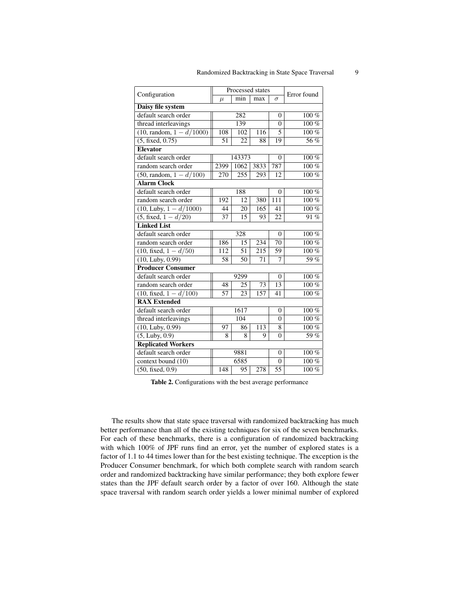|                                   | Processed states     |        |                 |                 | Error found |  |  |
|-----------------------------------|----------------------|--------|-----------------|-----------------|-------------|--|--|
| Configuration                     | $\mu$                | min    | max             | $\sigma$        |             |  |  |
| Daisy file system                 |                      |        |                 |                 |             |  |  |
| default search order              | 282                  |        |                 | 0               | 100 %       |  |  |
| thread interleavings              | 139                  |        |                 | $\overline{0}$  | 100 %       |  |  |
| $(10, \text{random}, 1 - d/1000)$ | 108                  | 102    | 116             | 5               | $100\%$     |  |  |
| (5, fixed, 0.75)                  | 51                   | 22     | 88              | 19              | 56 %        |  |  |
| <b>Elevator</b>                   |                      |        |                 |                 |             |  |  |
| default search order              |                      | 143373 |                 | 0               | 100 %       |  |  |
| random search order               | 2399<br>1062<br>3833 |        | 787             | 100 %           |             |  |  |
| $(50, \text{random}, 1 - d/100)$  | 270                  | 255    | 293             | 12              | $100\%$     |  |  |
| <b>Alarm Clock</b>                |                      |        |                 |                 |             |  |  |
| default search order              |                      | 188    |                 | $\theta$        | 100 %       |  |  |
| random search order               | 192                  | 12     | 380             | 111             | 100%        |  |  |
| $(10, \text{Luby}, 1 - d/1000)$   | 44                   | 20     | 165             | 41              | $100\%$     |  |  |
| $(5, \text{fixed}, 1 - d/20)$     | 37                   | 15     | 93              | 22              | 91%         |  |  |
| <b>Linked List</b>                |                      |        |                 |                 |             |  |  |
| default search order              |                      | 328    |                 | $\theta$        | 100 %       |  |  |
| random search order               | 186                  | 15     | 234             | 70              | 100%        |  |  |
| $(10, \text{fixed}, 1 - d/50)$    | 112                  | 51     | 215             | 59              | 100 %       |  |  |
| $(10, \text{Luby}, 0.99)$         | 71<br>58<br>50       |        | 7               | 59%             |             |  |  |
| <b>Producer Consumer</b>          |                      |        |                 |                 |             |  |  |
| default search order              | 9299                 |        |                 | $\theta$        | 100%        |  |  |
| random search order               | 48                   | 25     | $\overline{73}$ | 13              | 100 %       |  |  |
| $(10, \text{fixed}, 1 - d/100)$   | 57                   | 23     | 157             | 41              | $100\%$     |  |  |
| <b>RAX Extended</b>               |                      |        |                 |                 |             |  |  |
| default search order              | 1617                 |        | 0               | 100 %           |             |  |  |
| thread interleavings              | 104                  |        |                 | $\theta$        | 100%        |  |  |
| (10, Luby, 0.99)                  | 97<br>113<br>86      |        | 8               | 100 %           |             |  |  |
| (5, Luby, 0.9)                    | 8<br>8<br>9          |        | $\theta$        | 59 %            |             |  |  |
| <b>Replicated Workers</b>         |                      |        |                 |                 |             |  |  |
| default search order              | 9881                 |        |                 | $\theta$        | 100%        |  |  |
| context bound (10)                | 6585                 |        |                 | $\theta$        | 100 %       |  |  |
| $(50, \text{fixed}, 0.9)$         | 148                  | 95     | 278             | $\overline{55}$ | $100\%$     |  |  |

Table 2. Configurations with the best average performance

The results show that state space traversal with randomized backtracking has much better performance than all of the existing techniques for six of the seven benchmarks. For each of these benchmarks, there is a configuration of randomized backtracking with which 100% of JPF runs find an error, yet the number of explored states is a factor of 1.1 to 44 times lower than for the best existing technique. The exception is the Producer Consumer benchmark, for which both complete search with random search order and randomized backtracking have similar performance; they both explore fewer states than the JPF default search order by a factor of over 160. Although the state space traversal with random search order yields a lower minimal number of explored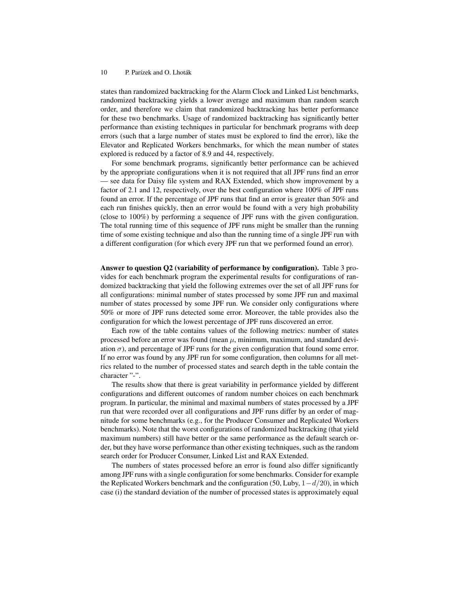states than randomized backtracking for the Alarm Clock and Linked List benchmarks, randomized backtracking yields a lower average and maximum than random search order, and therefore we claim that randomized backtracking has better performance for these two benchmarks. Usage of randomized backtracking has significantly better performance than existing techniques in particular for benchmark programs with deep errors (such that a large number of states must be explored to find the error), like the Elevator and Replicated Workers benchmarks, for which the mean number of states explored is reduced by a factor of 8.9 and 44, respectively.

For some benchmark programs, significantly better performance can be achieved by the appropriate configurations when it is not required that all JPF runs find an error — see data for Daisy file system and RAX Extended, which show improvement by a factor of 2.1 and 12, respectively, over the best configuration where 100% of JPF runs found an error. If the percentage of JPF runs that find an error is greater than 50% and each run finishes quickly, then an error would be found with a very high probability (close to 100%) by performing a sequence of JPF runs with the given configuration. The total running time of this sequence of JPF runs might be smaller than the running time of some existing technique and also than the running time of a single JPF run with a different configuration (for which every JPF run that we performed found an error).

Answer to question Q2 (variability of performance by configuration). Table 3 provides for each benchmark program the experimental results for configurations of randomized backtracking that yield the following extremes over the set of all JPF runs for all configurations: minimal number of states processed by some JPF run and maximal number of states processed by some JPF run. We consider only configurations where 50% or more of JPF runs detected some error. Moreover, the table provides also the configuration for which the lowest percentage of JPF runs discovered an error.

Each row of the table contains values of the following metrics: number of states processed before an error was found (mean  $\mu$ , minimum, maximum, and standard deviation  $\sigma$ ), and percentage of JPF runs for the given configuration that found some error. If no error was found by any JPF run for some configuration, then columns for all metrics related to the number of processed states and search depth in the table contain the character "-".

The results show that there is great variability in performance yielded by different configurations and different outcomes of random number choices on each benchmark program. In particular, the minimal and maximal numbers of states processed by a JPF run that were recorded over all configurations and JPF runs differ by an order of magnitude for some benchmarks (e.g., for the Producer Consumer and Replicated Workers benchmarks). Note that the worst configurations of randomized backtracking (that yield maximum numbers) still have better or the same performance as the default search order, but they have worse performance than other existing techniques, such as the random search order for Producer Consumer, Linked List and RAX Extended.

The numbers of states processed before an error is found also differ significantly among JPF runs with a single configuration for some benchmarks. Consider for example the Replicated Workers benchmark and the configuration (50, Luby,  $1-d/20$ ), in which case (i) the standard deviation of the number of processed states is approximately equal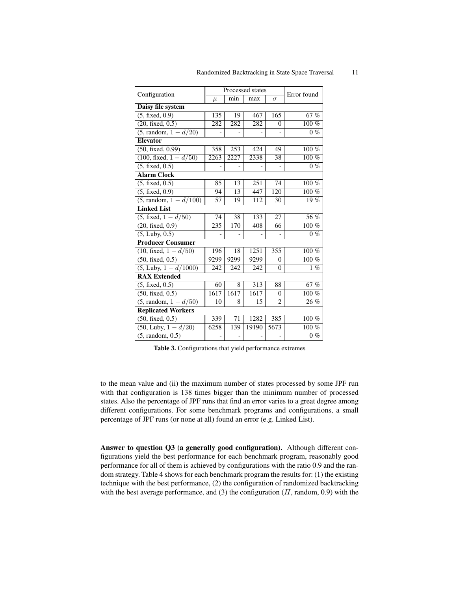| Configuration                        |       | Processed states | Error found |                |           |  |  |  |
|--------------------------------------|-------|------------------|-------------|----------------|-----------|--|--|--|
|                                      | $\mu$ | min              | max         | $\sigma$       |           |  |  |  |
| Daisy file system                    |       |                  |             |                |           |  |  |  |
| $(5, \text{fixed}, 0.9)$             | 135   | 19               | 467         | 165            | 67%       |  |  |  |
| (20, fixed, 0.5)                     | 282   | 282              | 282         | $\overline{0}$ | 100 %     |  |  |  |
| $(5, random, 1 - d/20)$              |       |                  |             |                | $0\%$     |  |  |  |
| <b>Elevator</b>                      |       |                  |             |                |           |  |  |  |
| $(50, \text{fixed}, 0.99)$           | 358   | 253              | 424         | 49             | 100 %     |  |  |  |
| $(100, \text{fixed}, 1 - d/50)$      | 2263  | 2227             | 2338        | 38             | $100\%$   |  |  |  |
| $(5, \text{fixed}, 0.5)$             |       |                  |             |                | $0\%$     |  |  |  |
| <b>Alarm Clock</b>                   |       |                  |             |                |           |  |  |  |
| (5, fixed, 0.5)                      | 85    | 13               | 251         | 74             | 100 %     |  |  |  |
| (5, fixed, 0.9)                      | 94    | 13               | 447         | 120            | $100\%$   |  |  |  |
| $(5, \text{random}, 1 - d/100)$      | 57    | 19               | 112         | 30             | $19\%$    |  |  |  |
| <b>Linked List</b>                   |       |                  |             |                |           |  |  |  |
| $(5, \text{fixed}, 1 - d/50)$        | 74    | 38               | 133         | 27             | 56 %      |  |  |  |
| (20, fixed, 0.9)                     | 235   | 170              | 408         | 66             | 100 %     |  |  |  |
| $(5, \overline{\text{Luby}, 0.5})$   |       |                  |             |                | $0\%$     |  |  |  |
| <b>Producer Consumer</b>             |       |                  |             |                |           |  |  |  |
| $(10, \text{fixed}, 1 - d/50)$       | 196   | 18               | 1251        | 355            | $100\%$   |  |  |  |
| $(50, \text{fixed}, 0.5)$            | 9299  | 9299             | 9299        | 0              | $100\%$   |  |  |  |
| $(5, Luby, 1 - d/1000)$              | 242   | 242              | 242         | $\overline{0}$ | $1\%$     |  |  |  |
| <b>RAX Extended</b>                  |       |                  |             |                |           |  |  |  |
| (5, fixed, 0.5)                      | 60    | 8                | 313         | 88             | 67%       |  |  |  |
| $(50, \text{fixed}, 0.5)$            | 1617  | 1617             | 1617        | $\Omega$       | 100 %     |  |  |  |
| $(5, random, 1 - d/50)$              | 10    | 8                | 15          | $\overline{2}$ | 26 %      |  |  |  |
| <b>Replicated Workers</b>            |       |                  |             |                |           |  |  |  |
| $(50, \text{fixed}, 0.5)$            | 339   | 71               | 1282        | 385            | 100 %     |  |  |  |
| $(50, \text{Luby}, 1 - d/20)$        | 6258  | 139              | 19190       | 5673           | $100\ \%$ |  |  |  |
| $\overline{(5, \text{random}, 0.5)}$ |       |                  |             |                | $0\%$     |  |  |  |

Table 3. Configurations that yield performance extremes

to the mean value and (ii) the maximum number of states processed by some JPF run with that configuration is 138 times bigger than the minimum number of processed states. Also the percentage of JPF runs that find an error varies to a great degree among different configurations. For some benchmark programs and configurations, a small percentage of JPF runs (or none at all) found an error (e.g. Linked List).

Answer to question Q3 (a generally good configuration). Although different configurations yield the best performance for each benchmark program, reasonably good performance for all of them is achieved by configurations with the ratio 0.9 and the random strategy. Table 4 shows for each benchmark program the results for: (1) the existing technique with the best performance, (2) the configuration of randomized backtracking with the best average performance, and  $(3)$  the configuration  $(H, \text{random}, 0.9)$  with the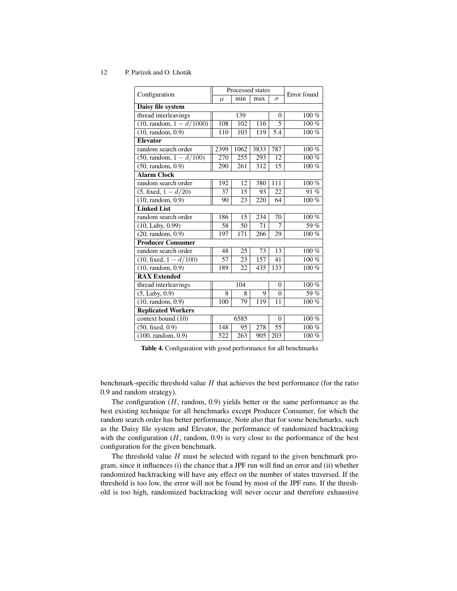|                                   | Processed states |                   |                |          |             |  |  |  |
|-----------------------------------|------------------|-------------------|----------------|----------|-------------|--|--|--|
| Configuration                     | $\mu$            | min               | max            | $\sigma$ | Error found |  |  |  |
| Daisy file system                 |                  |                   |                |          |             |  |  |  |
| thread interleavings              | 139              |                   |                | $\Omega$ | 100 %       |  |  |  |
| $(10, \text{random}, 1 - d/1000)$ | 108              | 102               | 116            | 5        | 100 %       |  |  |  |
| $(10, \text{random}, 0.9)$        | 110              | 103               | 119            | 5.4      | 100 %       |  |  |  |
| <b>Elevator</b>                   |                  |                   |                |          |             |  |  |  |
| random search order               | 2399             | $106\overline{2}$ | 3833           | 787      | $100\%$     |  |  |  |
| $(50, \text{random}, 1 - d/100)$  | 270              | 255               | 293            | 12       | 100 %       |  |  |  |
| $(50, \text{random}, 0.9)$        | 290              | 261               | 312            | 15       | 100 %       |  |  |  |
| <b>Alarm Clock</b>                |                  |                   |                |          |             |  |  |  |
| random search order               | 192              | 12                | 380            | 111      | 100 %       |  |  |  |
| $(5, \text{fixed}, 1 - d/20)$     | 37               | 15                | 93             | 22       | 91%         |  |  |  |
| $(10, \text{random}, 0.9)$        | 90               | 23                | 220            | 64       | 100 %       |  |  |  |
| <b>Linked List</b>                |                  |                   |                |          |             |  |  |  |
| random search order               | 186              | 15                | 234            | 70       | $100\%$     |  |  |  |
| (10, Luby, 0.99)                  | 58               | 50                | 71             | 7        | 59%         |  |  |  |
| (20, random, 0.9)                 | 197              | 171               | 266            | 29       | 100 %       |  |  |  |
| <b>Producer Consumer</b>          |                  |                   |                |          |             |  |  |  |
| random search order               | 48               | 25                | 73             | 13       | 100 %       |  |  |  |
| $(10, \text{fixed}, 1 - d/100)$   | 57               | 23                | 157            | 41       | 100 %       |  |  |  |
| $(10, \text{random}, 0.9)$        | 189              | 22                | 435            | 133      | 100 %       |  |  |  |
| <b>RAX Extended</b>               |                  |                   |                |          |             |  |  |  |
| thread interleavings              | 104              |                   | $\overline{0}$ | 100 %    |             |  |  |  |
| $\overline{(5, Luby, 0.9)}$       | 8                | 8                 | 9              | $\theta$ | 59 %        |  |  |  |
| $(10, \text{random}, 0.9)$        | 100              | 79                | 119            | 11       | 100 %       |  |  |  |
| <b>Replicated Workers</b>         |                  |                   |                |          |             |  |  |  |
| context bound (10)                |                  | 6585              |                | $\theta$ | 100%        |  |  |  |
| $(50, \text{fixed}, 0.9)$         | 148              | 95                | 278            | 55       | $100\%$     |  |  |  |
| $(100, \text{random}, 0.9)$       | 522              | 263               | 905            | 203      | 100%        |  |  |  |

Table 4. Configuration with good performance for all benchmarks

benchmark-specific threshold value  $H$  that achieves the best performance (for the ratio 0.9 and random strategy).

The configuration  $(H, \text{random}, 0.9)$  yields better or the same performance as the best existing technique for all benchmarks except Producer Consumer, for which the random search order has better performance. Note also that for some benchmarks, such as the Daisy file system and Elevator, the performance of randomized backtracking with the configuration  $(H, \text{random}, 0.9)$  is very close to the performance of the best configuration for the given benchmark.

The threshold value  $H$  must be selected with regard to the given benchmark program, since it influences (i) the chance that a JPF run will find an error and (ii) whether randomized backtracking will have any effect on the number of states traversed. If the threshold is too low, the error will not be found by most of the JPF runs. If the threshold is too high, randomized backtracking will never occur and therefore exhaustive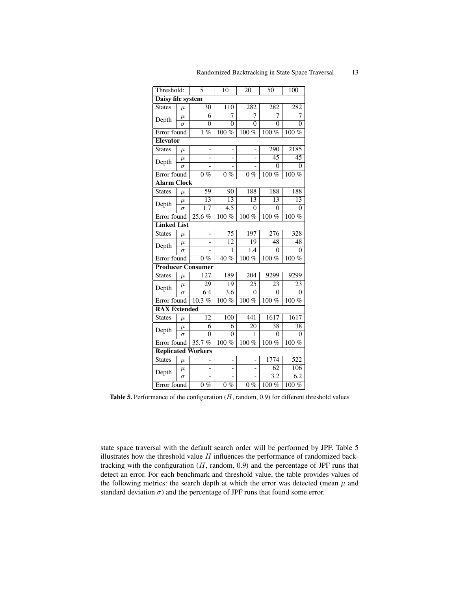| Threshold:                |             | $\overline{\phantom{0}}$ | 10               | $\overline{20}$ | 50               | 100              |  |  |  |
|---------------------------|-------------|--------------------------|------------------|-----------------|------------------|------------------|--|--|--|
| Daisy file system         |             |                          |                  |                 |                  |                  |  |  |  |
| <b>States</b>             | $\mu$       | $\overline{30}$          | 110              | 282             | 282              | 282              |  |  |  |
| Depth                     | $\mu$       | 6                        | 7                | 7               | 7                | 7                |  |  |  |
|                           | $\sigma$    | $\overline{0}$           | $\overline{0}$   | $\overline{0}$  | $\overline{0}$   | $\overline{0}$   |  |  |  |
| Error found               |             | 1%                       | 100 %            | 100 %           | 100 %            | 100 %            |  |  |  |
| <b>Elevator</b>           |             |                          |                  |                 |                  |                  |  |  |  |
| <b>States</b>             | $\mu$       |                          |                  |                 | 290              | 2185             |  |  |  |
| Depth                     | $\mu$       |                          |                  |                 | 45               | 45               |  |  |  |
|                           | $\sigma$    |                          |                  |                 | $\theta$         | 0                |  |  |  |
| Error found               |             | $0\%$                    | $0\%$            | $0\%$           | 100 %            | 100 %            |  |  |  |
| <b>Alarm Clock</b>        |             |                          |                  |                 |                  |                  |  |  |  |
| <b>States</b>             | $\mu$       | 59                       | 90               | 188             | 188              | 188              |  |  |  |
|                           | $\mu$       | 13                       | 13               | 13              | $\overline{13}$  | 13               |  |  |  |
| Depth                     | $\sigma$    | $\overline{1.7}$         | $\overline{4.5}$ | $\Omega$        | $\overline{0}$   | $\overline{0}$   |  |  |  |
|                           | Error found |                          | 100 %            | 100 %           | 100 %            | 100 %            |  |  |  |
| <b>Linked List</b>        |             |                          |                  |                 |                  |                  |  |  |  |
| <b>States</b>             | $\mu$       |                          | 75               | 197             | 276              | 328              |  |  |  |
| Depth                     | $\mu$       |                          | $\overline{12}$  | 19              | 48               | 48               |  |  |  |
|                           | $\sigma$    |                          | 1                | 1.4             | 0                | 0                |  |  |  |
| Error found               |             | $0\%$                    | 40 %             | 100 %           | 100 %            | 100 %            |  |  |  |
|                           |             | <b>Producer Consumer</b> |                  |                 |                  |                  |  |  |  |
| <b>States</b>             | $\mu$       | 127                      | 189              | 204             | 9299             | 9299             |  |  |  |
| Depth                     | $\mu$       | 29                       | 19               | 25              | 23               | 23               |  |  |  |
|                           | $\sigma$    | 6.4                      | $\overline{3.6}$ | 0               | 0                | 0                |  |  |  |
| Error found               |             | $10.3\%$                 | $100\%$          | 100 %           | 100 %            | 100 %            |  |  |  |
| <b>RAX Extended</b>       |             |                          |                  |                 |                  |                  |  |  |  |
| <b>States</b>             | $\mu$       | $\overline{12}$          | 100              | 441             | 1617             | 1617             |  |  |  |
|                           | $\mu$       | 6                        | 6                | 20              | 38               | 38               |  |  |  |
| Depth                     | $\sigma$    | $\overline{0}$           | 0                | 1               | $\theta$         | 0                |  |  |  |
| Error found               |             | 35.7%                    | 100 %            | 100 %           | 100 %            | 100 %            |  |  |  |
| <b>Replicated Workers</b> |             |                          |                  |                 |                  |                  |  |  |  |
| <b>States</b>             | $\mu$       |                          |                  |                 | 1774             | 522              |  |  |  |
| Depth                     | $\mu$       |                          |                  |                 | 62               | 106              |  |  |  |
|                           | $\sigma$    |                          |                  |                 | $\overline{3.2}$ | $\overline{6.2}$ |  |  |  |
| Error found               |             | $0\%$                    | $0\%$            | $0\%$           | $100\%$          | 100 %            |  |  |  |

Table 5. Performance of the configuration  $(H, \text{random}, 0.9)$  for different threshold values

state space traversal with the default search order will be performed by JPF. Table 5 illustrates how the threshold value  $H$  influences the performance of randomized backtracking with the configuration  $(H, \text{random}, 0.9)$  and the percentage of JPF runs that detect an error. For each benchmark and threshold value, the table provides values of the following metrics: the search depth at which the error was detected (mean  $\mu$  and standard deviation  $\sigma$ ) and the percentage of JPF runs that found some error.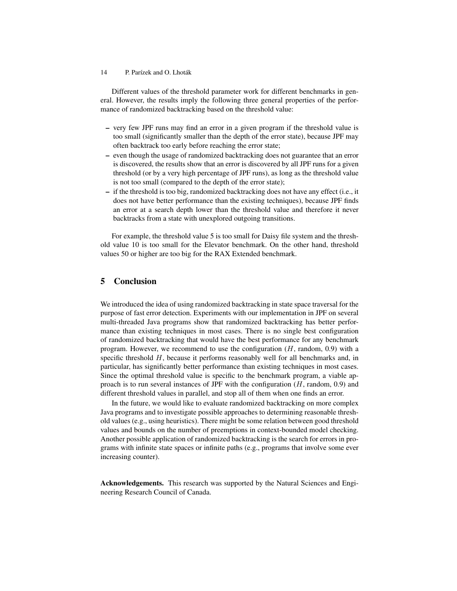Different values of the threshold parameter work for different benchmarks in general. However, the results imply the following three general properties of the performance of randomized backtracking based on the threshold value:

- very few JPF runs may find an error in a given program if the threshold value is too small (significantly smaller than the depth of the error state), because JPF may often backtrack too early before reaching the error state;
- even though the usage of randomized backtracking does not guarantee that an error is discovered, the results show that an error is discovered by all JPF runs for a given threshold (or by a very high percentage of JPF runs), as long as the threshold value is not too small (compared to the depth of the error state);
- if the threshold is too big, randomized backtracking does not have any effect (i.e., it does not have better performance than the existing techniques), because JPF finds an error at a search depth lower than the threshold value and therefore it never backtracks from a state with unexplored outgoing transitions.

For example, the threshold value 5 is too small for Daisy file system and the threshold value 10 is too small for the Elevator benchmark. On the other hand, threshold values 50 or higher are too big for the RAX Extended benchmark.

### 5 Conclusion

We introduced the idea of using randomized backtracking in state space traversal for the purpose of fast error detection. Experiments with our implementation in JPF on several multi-threaded Java programs show that randomized backtracking has better performance than existing techniques in most cases. There is no single best configuration of randomized backtracking that would have the best performance for any benchmark program. However, we recommend to use the configuration  $(H, \text{random}, 0.9)$  with a specific threshold  $H$ , because it performs reasonably well for all benchmarks and, in particular, has significantly better performance than existing techniques in most cases. Since the optimal threshold value is specific to the benchmark program, a viable approach is to run several instances of JPF with the configuration  $(H, \text{random}, 0.9)$  and different threshold values in parallel, and stop all of them when one finds an error.

In the future, we would like to evaluate randomized backtracking on more complex Java programs and to investigate possible approaches to determining reasonable threshold values (e.g., using heuristics). There might be some relation between good threshold values and bounds on the number of preemptions in context-bounded model checking. Another possible application of randomized backtracking is the search for errors in programs with infinite state spaces or infinite paths (e.g., programs that involve some ever increasing counter).

Acknowledgements. This research was supported by the Natural Sciences and Engineering Research Council of Canada.